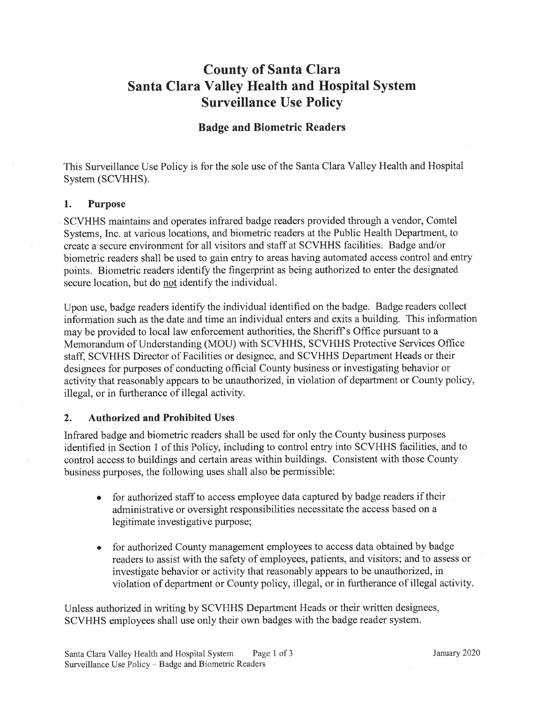# County of Santa Clara Santa Clara Valley Health and Hospital System Surveillance Use Policy

## Badge and Biometric Readers

This Surveillance Use Policy is for the sole use of the Santa Clara Valley Health and Hospital System (SCVHHS).

#### 1. Purpose

SCVHHS maintains and operates infrared badge readers provided through a vendor, Comtel Systems, Inc. at various locations, and biometric readers at the Public Health Department, to create a secure environment for all visitors and staff at SCVHHS facilities. Badge and/or biometric readers shall be used to gain entry to areas having automated access control and entry points. Biometric readers identify the fingerprint as being authorized to enter the designated secure location, but do not identify the individual.

Upon use, badge readers identify the individual identified on the badge. Badge readers collect information such as the date and time an individual enters and exits a building. This information may be provided to local law enforcement authorities, the Sheriff's Office pursuant to a Memorandum of Understanding (MOU) with SCVHHS, SCVHHS Protective Services Office staff, SCVHHS Director of Facilities or designee, and SCVHHS Department Heads or their designees for purposes of conducting official County business or investigating behavior or activity that reasonably appears to be unauthorized, in violation of department or County policy, illegal, or in furtherance of illegal activity.

## 2. Authorized and Prohibited Uses

Infrared badge and biometric readers shall be used for only the County business purposes identified in Section 1 of this Policy, including to control entry into SCVHHS facilities, and to control access to buildings and certain areas within buildings. Consistent with those County business purposes, the following uses shall also be permissible:

- for authorized staff to access employee data captured by badge readers if their administrative or oversight responsibilities necessitate the access based on a legitimate investigative purpose; o
- for authorized County management employees to access data obtained by badge readers to assist with the safety of employees, patients, and visitors; and to assess or investigate behavior or activity that reasonably appears to be unauthorized, in violation of department or County policy, illegal, or in furtherance of illegal activity

Unless authorized in writing by SCVHHS Department Heads or their written designees, SCVHHS employees shall use only their own badges with the badge reader system.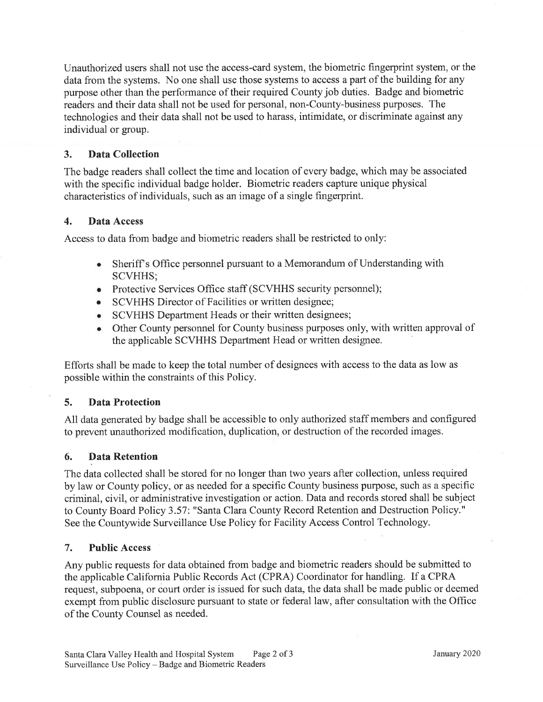Unauthorized users shall not use the access-card system, the biometric fingerprint system, or the data from the systems. No one shall use those systems to access a part of the building for any purpose other than the performance of their required County job duties. Badge and biometric readers and their data shall not be used for personal, non-County-business purposes. The technologies and their data shall not be used to harass, intimidate, or discriminate against any individual or group.

#### 3. Data Collection

The badge readers shall collect the time and location of every badge, which may be associated with the specific individual badge holder. Biometric readers capture unique physical characteristics of individuals, such as an image of a single fingerprint.

#### 4. Data Access

Access to data from badge and biometric readers shall be restricted to only:

- o Sheriff s Office personnel pursuant to a Memorandum of Understanding with SCVHHS;
- o Protective Services Office staff (SCVHHS security personnel);
- SCVHHS Director of Facilities or written designee;
- o SCVHHS Department Heads or their written designees;
- Other County personnel for County business purposes only, with written approval of the applicable SCVHHS Department Head or written designee.

Efforts shall be made to keep the total number of designees with access to the data as low as possible within the constraints of this Policy.

## 5. Data Protection

All data generated by badge shall be accessible to only authorized staff members and configured to prevent unauthorized modification, duplication, or destruction of the recorded images.

#### 6. Data Retention

The data collected shall be stored for no longer than two years after collection, unless required by law or County policy, or as needed for a specific County business purpose, such as a specific criminal, civil, or administrative investigation or action. Data and records stored shall be subject to County Board Policy 3.57: "Santa Clara County Record Retention and Destruction Policy." See the Countywide Surveillance Use Policy for Facility Access Control Technology.

#### 7. Public Access

Any public requests for data obtained from badge and biometric readers should be submitted to the applicable California Public Records Act (CPRA) Coordinator for handling. If a CPRA request, subpoena, or court order is issued for such data, the data shall be made public or deemed exempt from public disclosure pursuant to state or federal law, after consultation with the Office of the County Counsel as needed.